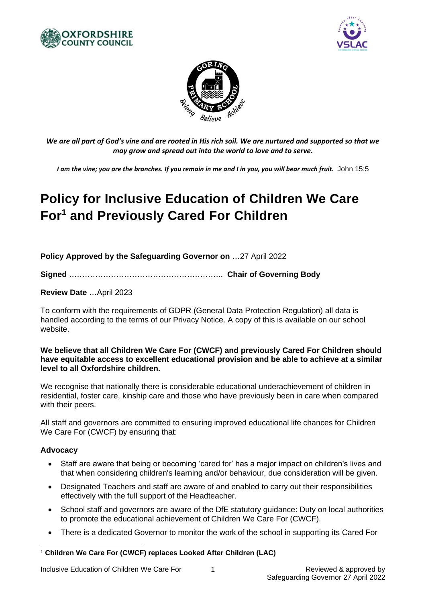





*We are all part of God's vine and are rooted in His rich soil. We are nurtured and supported so that we may grow and spread out into the world to love and to serve.*

*I am the vine; you are the branches. If you remain in me and I in you, you will bear much fruit.* John 15:5

# **Policy for Inclusive Education of Children We Care For<sup>1</sup> and Previously Cared For Children**

**Policy Approved by the Safeguarding Governor on** …27 April 2022

**Signed** ………………………………………………….. **Chair of Governing Body**

**Review Date** …April 2023

To conform with the requirements of GDPR (General Data Protection Regulation) all data is handled according to the terms of our Privacy Notice. A copy of this is available on our school website.

#### **We believe that all Children We Care For (CWCF) and previously Cared For Children should have equitable access to excellent educational provision and be able to achieve at a similar level to all Oxfordshire children.**

We recognise that nationally there is considerable educational underachievement of children in residential, foster care, kinship care and those who have previously been in care when compared with their peers.

All staff and governors are committed to ensuring improved educational life chances for Children We Care For (CWCF) by ensuring that:

#### **Advocacy**

- Staff are aware that being or becoming 'cared for' has a major impact on children's lives and that when considering children's learning and/or behaviour, due consideration will be given.
- Designated Teachers and staff are aware of and enabled to carry out their responsibilities effectively with the full support of the Headteacher.
- School staff and governors are aware of the DfE statutory guidance: Duty on local authorities to promote the educational achievement of Children We Care For (CWCF).
- There is a dedicated Governor to monitor the work of the school in supporting its Cared For

<sup>1</sup> **Children We Care For (CWCF) replaces Looked After Children (LAC)**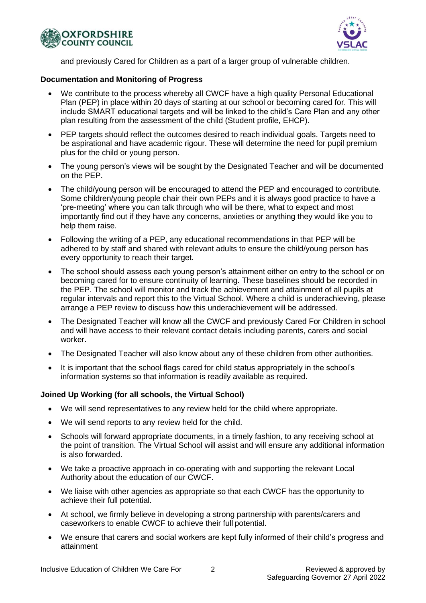



and previously Cared for Children as a part of a larger group of vulnerable children.

### **Documentation and Monitoring of Progress**

- We contribute to the process whereby all CWCF have a high quality Personal Educational Plan (PEP) in place within 20 days of starting at our school or becoming cared for. This will include SMART educational targets and will be linked to the child's Care Plan and any other plan resulting from the assessment of the child (Student profile, EHCP).
- PEP targets should reflect the outcomes desired to reach individual goals. Targets need to be aspirational and have academic rigour. These will determine the need for pupil premium plus for the child or young person.
- The young person's views will be sought by the Designated Teacher and will be documented on the PEP.
- The child/young person will be encouraged to attend the PEP and encouraged to contribute. Some children/young people chair their own PEPs and it is always good practice to have a 'pre-meeting' where you can talk through who will be there, what to expect and most importantly find out if they have any concerns, anxieties or anything they would like you to help them raise.
- Following the writing of a PEP, any educational recommendations in that PEP will be adhered to by staff and shared with relevant adults to ensure the child/young person has every opportunity to reach their target.
- The school should assess each young person's attainment either on entry to the school or on becoming cared for to ensure continuity of learning. These baselines should be recorded in the PEP. The school will monitor and track the achievement and attainment of all pupils at regular intervals and report this to the Virtual School. Where a child is underachieving, please arrange a PEP review to discuss how this underachievement will be addressed.
- The Designated Teacher will know all the CWCF and previously Cared For Children in school and will have access to their relevant contact details including parents, carers and social worker.
- The Designated Teacher will also know about any of these children from other authorities.
- It is important that the school flags cared for child status appropriately in the school's information systems so that information is readily available as required.

#### **Joined Up Working (for all schools, the Virtual School)**

- We will send representatives to any review held for the child where appropriate.
- We will send reports to any review held for the child.
- Schools will forward appropriate documents, in a timely fashion, to any receiving school at the point of transition. The Virtual School will assist and will ensure any additional information is also forwarded.
- We take a proactive approach in co-operating with and supporting the relevant Local Authority about the education of our CWCF.
- We liaise with other agencies as appropriate so that each CWCF has the opportunity to achieve their full potential.
- At school, we firmly believe in developing a strong partnership with parents/carers and caseworkers to enable CWCF to achieve their full potential.
- We ensure that carers and social workers are kept fully informed of their child's progress and attainment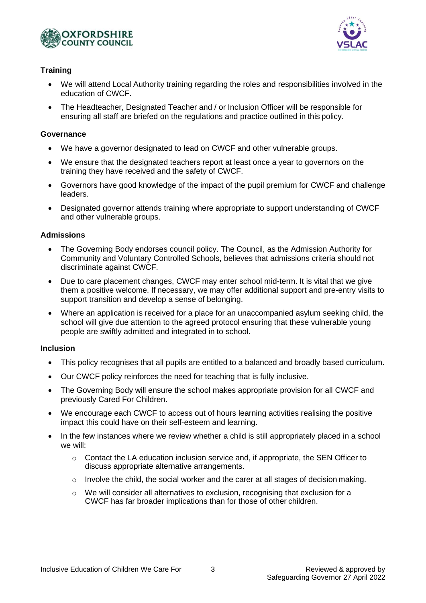



# **Training**

- We will attend Local Authority training regarding the roles and responsibilities involved in the education of CWCF.
- The Headteacher, Designated Teacher and / or Inclusion Officer will be responsible for ensuring all staff are briefed on the regulations and practice outlined in this policy.

# **Governance**

- We have a governor designated to lead on CWCF and other vulnerable groups.
- We ensure that the designated teachers report at least once a year to governors on the training they have received and the safety of CWCF.
- Governors have good knowledge of the impact of the pupil premium for CWCF and challenge leaders.
- Designated governor attends training where appropriate to support understanding of CWCF and other vulnerable groups.

# **Admissions**

- The Governing Body endorses council policy. The Council, as the Admission Authority for Community and Voluntary Controlled Schools, believes that admissions criteria should not discriminate against CWCF.
- Due to care placement changes, CWCF may enter school mid-term. It is vital that we give them a positive welcome. If necessary, we may offer additional support and pre-entry visits to support transition and develop a sense of belonging.
- Where an application is received for a place for an unaccompanied asylum seeking child, the school will give due attention to the agreed protocol ensuring that these vulnerable young people are swiftly admitted and integrated in to school.

#### **Inclusion**

- This policy recognises that all pupils are entitled to a balanced and broadly based curriculum.
- Our CWCF policy reinforces the need for teaching that is fully inclusive.
- The Governing Body will ensure the school makes appropriate provision for all CWCF and previously Cared For Children.
- We encourage each CWCF to access out of hours learning activities realising the positive impact this could have on their self-esteem and learning.
- In the few instances where we review whether a child is still appropriately placed in a school we will:
	- $\circ$  Contact the LA education inclusion service and, if appropriate, the SEN Officer to discuss appropriate alternative arrangements.
	- o Involve the child, the social worker and the carer at all stages of decision making.
	- $\circ$  We will consider all alternatives to exclusion, recognising that exclusion for a CWCF has far broader implications than for those of other children.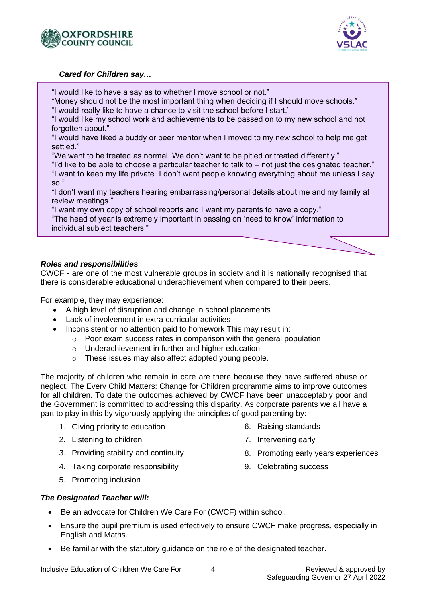



#### *Cared for Children say…*

"I would like to have a say as to whether I move school or not."

"Money should not be the most important thing when deciding if I should move schools."

"I would really like to have a chance to visit the school before I start."

"I would like my school work and achievements to be passed on to my new school and not forgotten about."

"I would have liked a buddy or peer mentor when I moved to my new school to help me get settled."

"We want to be treated as normal. We don't want to be pitied or treated differently."

"I'd like to be able to choose a particular teacher to talk to – not just the designated teacher." "I want to keep my life private. I don't want people knowing everything about me unless I say so."

"I don't want my teachers hearing embarrassing/personal details about me and my family at review meetings."

"I want my own copy of school reports and I want my parents to have a copy."

"The head of year is extremely important in passing on 'need to know' information to individual subject teachers."

# *Roles and responsibilities*

CWCF - are one of the most vulnerable groups in society and it is nationally recognised that there is considerable educational underachievement when compared to their peers.

For example, they may experience:

- A high level of disruption and change in school placements
- Lack of involvement in extra-curricular activities
- Inconsistent or no attention paid to homework This may result in:
	- o Poor exam success rates in comparison with the general population
	- o Underachievement in further and higher education
	- o These issues may also affect adopted young people.

The majority of children who remain in care are there because they have suffered abuse or neglect. The Every Child Matters: Change for Children programme aims to improve outcomes for all children. To date the outcomes achieved by CWCF have been unacceptably poor and the Government is committed to addressing this disparity. As corporate parents we all have a part to play in this by vigorously applying the principles of good parenting by:

- 1. Giving priority to education
- 2. Listening to children
- 3. Providing stability and continuity
- 4. Taking corporate responsibility
- 6. Raising standards
- 7. Intervening early
- 8. Promoting early years experiences
- 9. Celebrating success

5. Promoting inclusion

# *The Designated Teacher will:*

- Be an advocate for Children We Care For (CWCF) within school.
- Ensure the pupil premium is used effectively to ensure CWCF make progress, especially in English and Maths.
- Be familiar with the statutory guidance on the role of the designated teacher.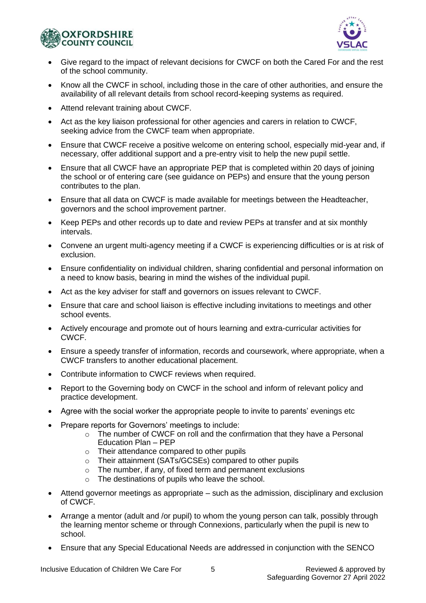



- Give regard to the impact of relevant decisions for CWCF on both the Cared For and the rest of the school community.
- Know all the CWCF in school, including those in the care of other authorities, and ensure the availability of all relevant details from school record-keeping systems as required.
- Attend relevant training about CWCF.
- Act as the key liaison professional for other agencies and carers in relation to CWCF, seeking advice from the CWCF team when appropriate.
- Ensure that CWCF receive a positive welcome on entering school, especially mid-year and, if necessary, offer additional support and a pre-entry visit to help the new pupil settle.
- Ensure that all CWCF have an appropriate PEP that is completed within 20 days of joining the school or of entering care (see guidance on PEPs) and ensure that the young person contributes to the plan.
- Ensure that all data on CWCF is made available for meetings between the Headteacher, governors and the school improvement partner.
- Keep PEPs and other records up to date and review PEPs at transfer and at six monthly intervals.
- Convene an urgent multi-agency meeting if a CWCF is experiencing difficulties or is at risk of exclusion.
- Ensure confidentiality on individual children, sharing confidential and personal information on a need to know basis, bearing in mind the wishes of the individual pupil.
- Act as the key adviser for staff and governors on issues relevant to CWCF.
- Ensure that care and school liaison is effective including invitations to meetings and other school events.
- Actively encourage and promote out of hours learning and extra-curricular activities for CWCF.
- Ensure a speedy transfer of information, records and coursework, where appropriate, when a CWCF transfers to another educational placement.
- Contribute information to CWCF reviews when required.
- Report to the Governing body on CWCF in the school and inform of relevant policy and practice development.
- Agree with the social worker the appropriate people to invite to parents' evenings etc
- Prepare reports for Governors' meetings to include:
	- o The number of CWCF on roll and the confirmation that they have a Personal Education Plan – PEP
	- o Their attendance compared to other pupils
	- o Their attainment (SATs/GCSEs) compared to other pupils
	- o The number, if any, of fixed term and permanent exclusions
	- o The destinations of pupils who leave the school.
- Attend governor meetings as appropriate such as the admission, disciplinary and exclusion of CWCF.
- Arrange a mentor (adult and /or pupil) to whom the young person can talk, possibly through the learning mentor scheme or through Connexions, particularly when the pupil is new to school.
- Ensure that any Special Educational Needs are addressed in conjunction with the SENCO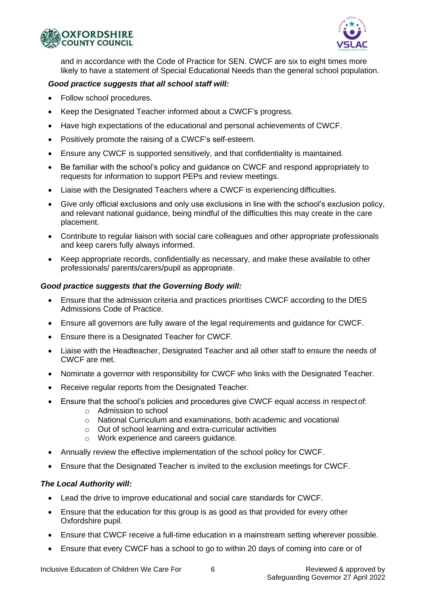



and in accordance with the Code of Practice for SEN. CWCF are six to eight times more likely to have a statement of Special Educational Needs than the general school population.

#### *Good practice suggests that all school staff will:*

- Follow school procedures.
- Keep the Designated Teacher informed about a CWCF's progress.
- Have high expectations of the educational and personal achievements of CWCF.
- Positively promote the raising of a CWCF's self-esteem.
- Ensure any CWCF is supported sensitively, and that confidentiality is maintained.
- Be familiar with the school's policy and guidance on CWCF and respond appropriately to requests for information to support PEPs and review meetings.
- Liaise with the Designated Teachers where a CWCF is experiencing difficulties.
- Give only official exclusions and only use exclusions in line with the school's exclusion policy, and relevant national guidance, being mindful of the difficulties this may create in the care placement.
- Contribute to regular liaison with social care colleagues and other appropriate professionals and keep carers fully always informed.
- Keep appropriate records, confidentially as necessary, and make these available to other professionals/ parents/carers/pupil as appropriate.

#### *Good practice suggests that the Governing Body will:*

- Ensure that the admission criteria and practices prioritises CWCF according to the DfES Admissions Code of Practice.
- Ensure all governors are fully aware of the legal requirements and guidance for CWCF.
- Ensure there is a Designated Teacher for CWCF.
- Liaise with the Headteacher, Designated Teacher and all other staff to ensure the needs of CWCF are met.
- Nominate a governor with responsibility for CWCF who links with the Designated Teacher.
- Receive regular reports from the Designated Teacher.
- Ensure that the school's policies and procedures give CWCF equal access in respect of:
	- o Admission to school
	- $\circ$  National Curriculum and examinations, both academic and vocational
	- o Out of school learning and extra-curricular activities
	- o Work experience and careers guidance.
- Annually review the effective implementation of the school policy for CWCF.
- Ensure that the Designated Teacher is invited to the exclusion meetings for CWCF.

#### *The Local Authority will:*

- Lead the drive to improve educational and social care standards for CWCF.
- Ensure that the education for this group is as good as that provided for every other Oxfordshire pupil.
- Ensure that CWCF receive a full-time education in a mainstream setting wherever possible.
- Ensure that every CWCF has a school to go to within 20 days of coming into care or of